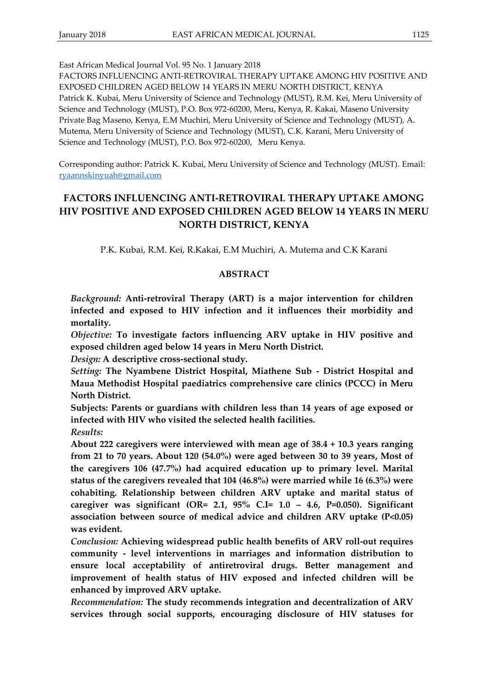FACTORS INFLUENCING ANTI-RETROVIRAL THERAPY UPTAKE AMONG HIV POSITIVE AND EXPOSED CHILDREN AGED BELOW 14 YEARS IN MERU NORTH DISTRICT, KENYA Patrick K. Kubai, Meru University of Science and Technology (MUST), R.M. Kei, Meru University of Science and Technology (MUST), P.O. Box 972-60200, Meru, Kenya, R. Kakai, Maseno University Private Bag Maseno, Kenya, E.M Muchiri, Meru University of Science and Technology (MUST), A. Mutema, Meru University of Science and Technology (MUST), C.K. Karani, Meru University of Science and Technology (MUST), P.O. Box 972-60200, Meru Kenya.

Corresponding author: Patrick K. Kubai, Meru University of Science and Technology (MUST). Email: [ryaannskinyuah@gmail.com](mailto:ryaannskinyuah@gmail.com)

# **FACTORS INFLUENCING ANTI-RETROVIRAL THERAPY UPTAKE AMONG HIV POSITIVE AND EXPOSED CHILDREN AGED BELOW 14 YEARS IN MERU NORTH DISTRICT, KENYA**

P.K. Kubai, R.M. Kei, R.Kakai, E.M Muchiri, A. Mutema and C.K Karani

### **ABSTRACT**

*Background:* **Anti-retroviral Therapy (ART) is a major intervention for children infected and exposed to HIV infection and it influences their morbidity and mortality.**

*Objective:* **To investigate factors influencing ARV uptake in HIV positive and exposed children aged below 14 years in Meru North District.**

*Design:* **A descriptive cross-sectional study.**

*Setting:* **The Nyambene District Hospital, Miathene Sub - District Hospital and Maua Methodist Hospital paediatrics comprehensive care clinics (PCCC) in Meru North District.**

**Subjects: Parents or guardians with children less than 14 years of age exposed or infected with HIV who visited the selected health facilities.** 

*Results:*

**About 222 caregivers were interviewed with mean age of 38.4 + 10.3 years ranging from 21 to 70 years. About 120 (54.0%) were aged between 30 to 39 years, Most of the caregivers 106 (47.7%) had acquired education up to primary level. Marital status of the caregivers revealed that 104 (46.8%) were married while 16 (6.3%) were cohabiting. Relationship between children ARV uptake and marital status of caregiver was significant (OR= 2.1, 95% C.I= 1.0 – 4.6, P=0.050). Significant association between source of medical advice and children ARV uptake (P<0.05) was evident.** 

*Conclusion:* **Achieving widespread public health benefits of ARV roll-out requires community - level interventions in marriages and information distribution to ensure local acceptability of antiretroviral drugs. Better management and improvement of health status of HIV exposed and infected children will be enhanced by improved ARV uptake.** 

*Recommendation:* **The study recommends integration and decentralization of ARV services through social supports, encouraging disclosure of HIV statuses for**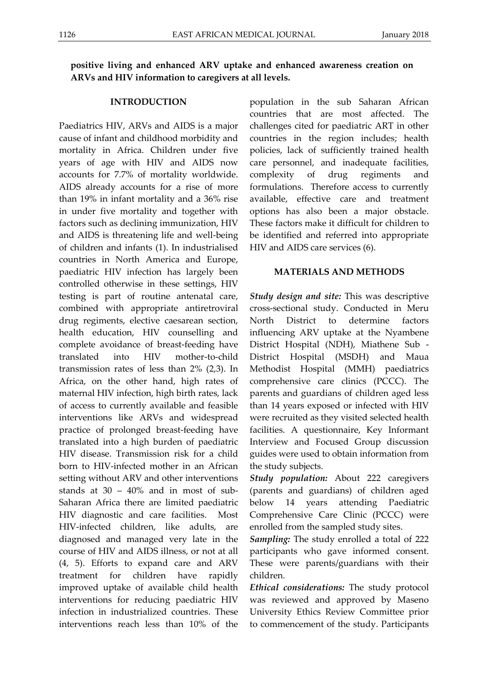# **positive living and enhanced ARV uptake and enhanced awareness creation on ARVs and HIV information to caregivers at all levels.**

#### **INTRODUCTION**

Paediatrics HIV, ARVs and AIDS is a major cause of infant and childhood morbidity and mortality in Africa. Children under five years of age with HIV and AIDS now accounts for 7.7% of mortality worldwide. AIDS already accounts for a rise of more than 19% in infant mortality and a 36% rise in under five mortality and together with factors such as declining immunization, HIV and AIDS is threatening life and well-being of children and infants (1). In industrialised countries in North America and Europe, paediatric HIV infection has largely been controlled otherwise in these settings, HIV testing is part of routine antenatal care, combined with appropriate antiretroviral drug regiments, elective caesarean section, health education, HIV counselling and complete avoidance of breast-feeding have translated into HIV mother-to-child transmission rates of less than 2% (2,3). In Africa, on the other hand, high rates of maternal HIV infection, high birth rates, lack of access to currently available and feasible interventions like ARVs and widespread practice of prolonged breast-feeding have translated into a high burden of paediatric HIV disease. Transmission risk for a child born to HIV-infected mother in an African setting without ARV and other interventions stands at 30 – 40% and in most of sub-Saharan Africa there are limited paediatric HIV diagnostic and care facilities. Most HIV-infected children, like adults, are diagnosed and managed very late in the course of HIV and AIDS illness, or not at all (4, 5). Efforts to expand care and ARV treatment for children have rapidly improved uptake of available child health interventions for reducing paediatric HIV infection in industrialized countries. These interventions reach less than 10% of the population in the sub Saharan African countries that are most affected. The challenges cited for paediatric ART in other countries in the region includes; health policies, lack of sufficiently trained health care personnel, and inadequate facilities, complexity of drug regiments and formulations. Therefore access to currently available, effective care and treatment options has also been a major obstacle. These factors make it difficult for children to be identified and referred into appropriate HIV and AIDS care services (6).

#### **MATERIALS AND METHODS**

*Study design and site:* This was descriptive cross-sectional study. Conducted in Meru North District to determine factors influencing ARV uptake at the Nyambene District Hospital (NDH), Miathene Sub - District Hospital (MSDH) and Maua Methodist Hospital (MMH) paediatrics comprehensive care clinics (PCCC). The parents and guardians of children aged less than 14 years exposed or infected with HIV were recruited as they visited selected health facilities. A questionnaire, Key Informant Interview and Focused Group discussion guides were used to obtain information from the study subjects.

*Study population:* About 222 caregivers (parents and guardians) of children aged below 14 years attending Paediatric Comprehensive Care Clinic (PCCC) were enrolled from the sampled study sites.

*Sampling:* The study enrolled a total of 222 participants who gave informed consent. These were parents/guardians with their children.

*Ethical considerations:* The study protocol was reviewed and approved by Maseno University Ethics Review Committee prior to commencement of the study. Participants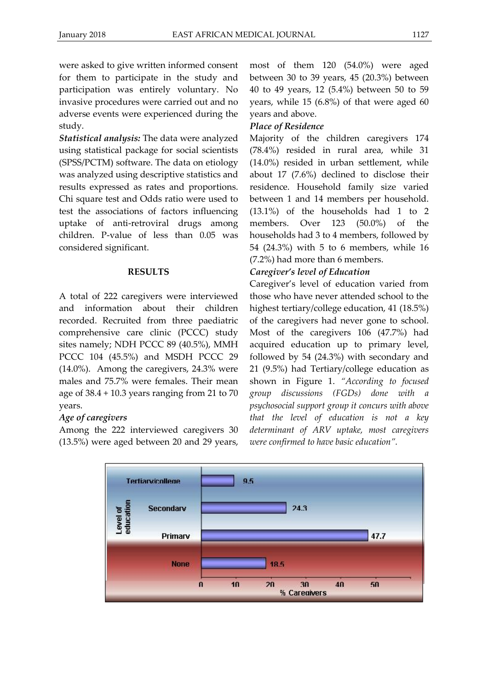were asked to give written informed consent for them to participate in the study and participation was entirely voluntary. No invasive procedures were carried out and no adverse events were experienced during the study.

*Statistical analysis:* The data were analyzed using statistical package for social scientists (SPSS/PCTM) software. The data on etiology was analyzed using descriptive statistics and results expressed as rates and proportions. Chi square test and Odds ratio were used to test the associations of factors influencing uptake of anti-retroviral drugs among children. P-value of less than 0.05 was considered significant.

### **RESULTS**

A total of 222 caregivers were interviewed and information about their children recorded. Recruited from three paediatric comprehensive care clinic (PCCC) study sites namely; NDH PCCC 89 (40.5%), MMH PCCC 104 (45.5%) and MSDH PCCC 29 (14.0%). Among the caregivers, 24.3% were males and 75.7% were females. Their mean age of 38.4 + 10.3 years ranging from 21 to 70 years.

### *Age of caregivers*

Among the 222 interviewed caregivers 30 (13.5%) were aged between 20 and 29 years, most of them 120 (54.0%) were aged between 30 to 39 years, 45 (20.3%) between 40 to 49 years, 12 (5.4%) between 50 to 59 years, while 15 (6.8%) of that were aged 60 years and above.

### *Place of Residence*

Majority of the children caregivers 174 (78.4%) resided in rural area, while 31 (14.0%) resided in urban settlement, while about 17 (7.6%) declined to disclose their residence. Household family size varied between 1 and 14 members per household. (13.1%) of the households had 1 to 2 members. Over 123 (50.0%) of the households had 3 to 4 members, followed by 54 (24.3%) with 5 to 6 members, while 16 (7.2%) had more than 6 members.

### *Caregiver's level of Education*

Caregiver's level of education varied from those who have never attended school to the highest tertiary/college education, 41 (18.5%) of the caregivers had never gone to school. Most of the caregivers 106 (47.7%) had acquired education up to primary level, followed by 54 (24.3%) with secondary and 21 (9.5%) had Tertiary/college education as shown in Figure 1. *"According to focused group discussions (FGDs) done with a psychosocial support group it concurs with above that the level of education is not a key determinant of ARV uptake, most caregivers were confirmed to have basic education".*

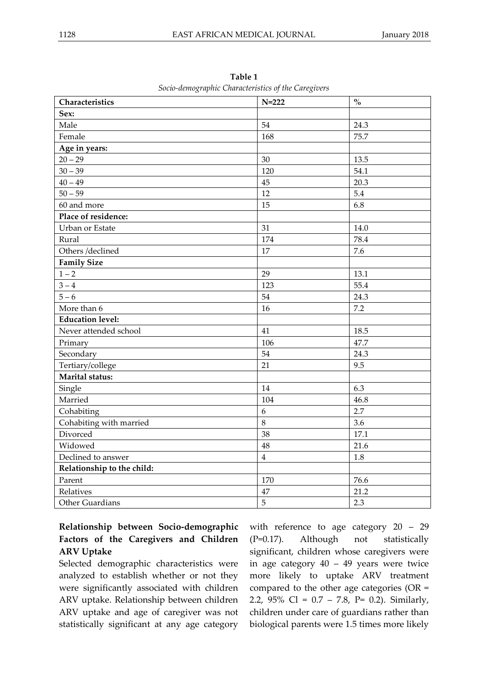| Characteristics            | $N=222$        | $\mathbf{O}_{\mathbf{O}}^{\prime}$ |
|----------------------------|----------------|------------------------------------|
| Sex:                       |                |                                    |
| Male                       | 54             | 24.3                               |
| Female                     | 168            | 75.7                               |
| Age in years:              |                |                                    |
| $20 - 29$                  | 30             | 13.5                               |
| $30 - 39$                  | 120            | 54.1                               |
| $40 - 49$                  | 45             | 20.3                               |
| $50 - 59$                  | 12             | 5.4                                |
| 60 and more                | 15             | 6.8                                |
| Place of residence:        |                |                                    |
| Urban or Estate            | 31             | 14.0                               |
| Rural                      | 174            | 78.4                               |
| Others /declined           | 17             | 7.6                                |
| <b>Family Size</b>         |                |                                    |
| $1 - 2$                    | 29             | 13.1                               |
| $3 - 4$                    | 123            | 55.4                               |
| $5 - 6$                    | 54             | 24.3                               |
| More than 6                | 16             | 7.2                                |
| <b>Education level:</b>    |                |                                    |
| Never attended school      | 41             | 18.5                               |
| Primary                    | 106            | 47.7                               |
| Secondary                  | 54             | 24.3                               |
| Tertiary/college           | 21             | 9.5                                |
| Marital status:            |                |                                    |
| Single                     | 14             | 6.3                                |
| Married                    | 104            | 46.8                               |
| Cohabiting                 | 6              | 2.7                                |
| Cohabiting with married    | 8              | 3.6                                |
| Divorced                   | 38             | 17.1                               |
| Widowed                    | 48             | 21.6                               |
| Declined to answer         | $\overline{4}$ | 1.8                                |
| Relationship to the child: |                |                                    |
| Parent                     | 170            | 76.6                               |
| Relatives                  | 47             | 21.2                               |
| Other Guardians            | 5              | 2.3                                |

**Table 1** *Socio-demographic Characteristics of the Caregivers*

# **Relationship between Socio-demographic Factors of the Caregivers and Children ARV Uptake**

Selected demographic characteristics were analyzed to establish whether or not they were significantly associated with children ARV uptake. Relationship between children ARV uptake and age of caregiver was not statistically significant at any age category with reference to age category 20 – 29 (P=0.17). Although not statistically significant, children whose caregivers were in age category 40 – 49 years were twice more likely to uptake ARV treatment compared to the other age categories (OR = 2.2, 95% Cl = 0.7 – 7.8, P= 0.2). Similarly, children under care of guardians rather than biological parents were 1.5 times more likely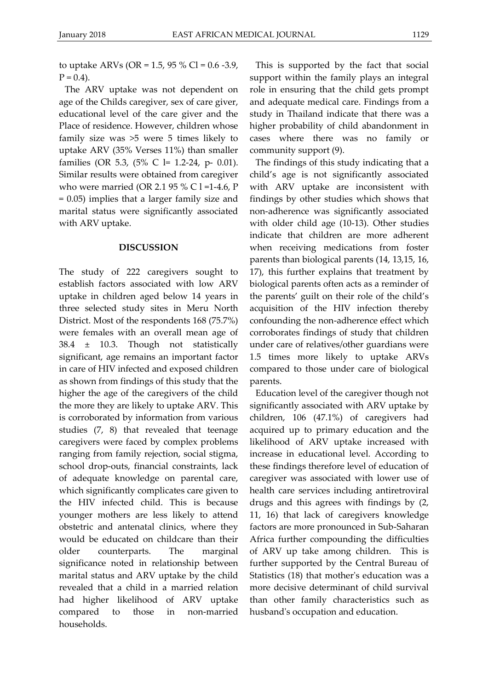to uptake ARVs (OR = 1.5, 95 % Cl =  $0.6 - 3.9$ ,  $P = 0.4$ ).

The ARV uptake was not dependent on age of the Childs caregiver, sex of care giver, educational level of the care giver and the Place of residence. However, children whose family size was >5 were 5 times likely to uptake ARV (35% Verses 11%) than smaller families (OR 5.3, (5% C l= 1.2-24, p- 0.01). Similar results were obtained from caregiver who were married (OR 2.1 95 % C l =1-4.6, P = 0.05) implies that a larger family size and marital status were significantly associated with ARV uptake.

#### **DISCUSSION**

The study of 222 caregivers sought to establish factors associated with low ARV uptake in children aged below 14 years in three selected study sites in Meru North District. Most of the respondents 168 (75.7%) were females with an overall mean age of 38.4 ± 10.3. Though not statistically significant, age remains an important factor in care of HIV infected and exposed children as shown from findings of this study that the higher the age of the caregivers of the child the more they are likely to uptake ARV. This is corroborated by information from various studies (7, 8) that revealed that teenage caregivers were faced by complex problems ranging from family rejection, social stigma, school drop-outs, financial constraints, lack of adequate knowledge on parental care, which significantly complicates care given to the HIV infected child. This is because younger mothers are less likely to attend obstetric and antenatal clinics, where they would be educated on childcare than their older counterparts. The marginal significance noted in relationship between marital status and ARV uptake by the child revealed that a child in a married relation had higher likelihood of ARV uptake compared to those in non-married households.

This is supported by the fact that social support within the family plays an integral role in ensuring that the child gets prompt and adequate medical care. Findings from a study in Thailand indicate that there was a higher probability of child abandonment in cases where there was no family or community support (9).

The findings of this study indicating that a child's age is not significantly associated with ARV uptake are inconsistent with findings by other studies which shows that non-adherence was significantly associated with older child age (10-13). Other studies indicate that children are more adherent when receiving medications from foster parents than biological parents (14, 13,15, 16, 17), this further explains that treatment by biological parents often acts as a reminder of the parents' guilt on their role of the child's acquisition of the HIV infection thereby confounding the non-adherence effect which corroborates findings of study that children under care of relatives/other guardians were 1.5 times more likely to uptake ARVs compared to those under care of biological parents.

Education level of the caregiver though not significantly associated with ARV uptake by children, 106 (47.1%) of caregivers had acquired up to primary education and the likelihood of ARV uptake increased with increase in educational level. According to these findings therefore level of education of caregiver was associated with lower use of health care services including antiretroviral drugs and this agrees with findings by (2, 11, 16) that lack of caregivers knowledge factors are more pronounced in Sub-Saharan Africa further compounding the difficulties of ARV up take among children. This is further supported by the Central Bureau of Statistics (18) that mother's education was a more decisive determinant of child survival than other family characteristics such as husband's occupation and education.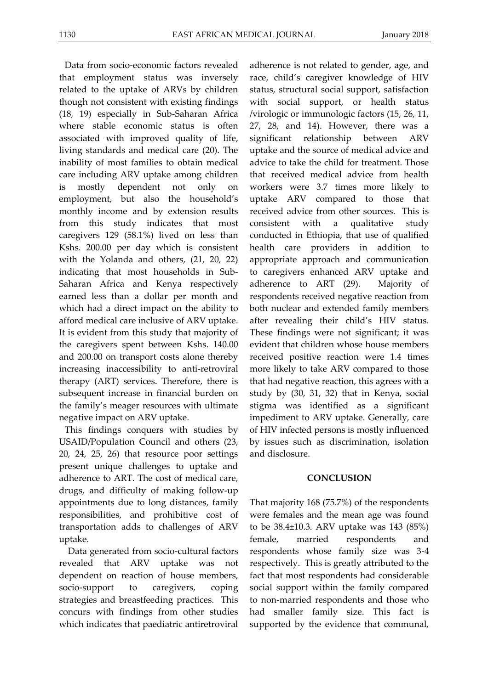Data from socio-economic factors revealed that employment status was inversely related to the uptake of ARVs by children though not consistent with existing findings (18, 19) especially in Sub-Saharan Africa where stable economic status is often associated with improved quality of life, living standards and medical care (20). The inability of most families to obtain medical care including ARV uptake among children is mostly dependent not only on employment, but also the household's monthly income and by extension results from this study indicates that most caregivers 129 (58.1%) lived on less than Kshs. 200.00 per day which is consistent with the Yolanda and others, (21, 20, 22) indicating that most households in Sub-Saharan Africa and Kenya respectively earned less than a dollar per month and which had a direct impact on the ability to afford medical care inclusive of ARV uptake. It is evident from this study that majority of the caregivers spent between Kshs. 140.00 and 200.00 on transport costs alone thereby increasing inaccessibility to anti-retroviral therapy (ART) services. Therefore, there is subsequent increase in financial burden on the family's meager resources with ultimate negative impact on ARV uptake.

This findings conquers with studies by USAID/Population Council and others (23, 20, 24, 25, 26) that resource poor settings present unique challenges to uptake and adherence to ART. The cost of medical care, drugs, and difficulty of making follow-up appointments due to long distances, family responsibilities, and prohibitive cost of transportation adds to challenges of ARV uptake.

Data generated from socio-cultural factors revealed that ARV uptake was not dependent on reaction of house members, socio-support to caregivers, coping strategies and breastfeeding practices. This concurs with findings from other studies which indicates that paediatric antiretroviral

adherence is not related to gender, age, and race, child's caregiver knowledge of HIV status, structural social support, satisfaction with social support, or health status /virologic or immunologic factors (15, 26, 11, 27, 28, and 14). However, there was a significant relationship between ARV uptake and the source of medical advice and advice to take the child for treatment. Those that received medical advice from health workers were 3.7 times more likely to uptake ARV compared to those that received advice from other sources. This is consistent with a qualitative study conducted in Ethiopia, that use of qualified health care providers in addition to appropriate approach and communication to caregivers enhanced ARV uptake and adherence to ART (29). Majority of respondents received negative reaction from both nuclear and extended family members after revealing their child's HIV status. These findings were not significant; it was evident that children whose house members received positive reaction were 1.4 times more likely to take ARV compared to those that had negative reaction, this agrees with a study by (30, 31, 32) that in Kenya, social stigma was identified as a significant impediment to ARV uptake. Generally, care of HIV infected persons is mostly influenced by issues such as discrimination, isolation and disclosure.

### **CONCLUSION**

That majority 168 (75.7%) of the respondents were females and the mean age was found to be 38.4±10.3. ARV uptake was 143 (85%) female, married respondents and respondents whose family size was 3-4 respectively. This is greatly attributed to the fact that most respondents had considerable social support within the family compared to non-married respondents and those who had smaller family size. This fact is supported by the evidence that communal,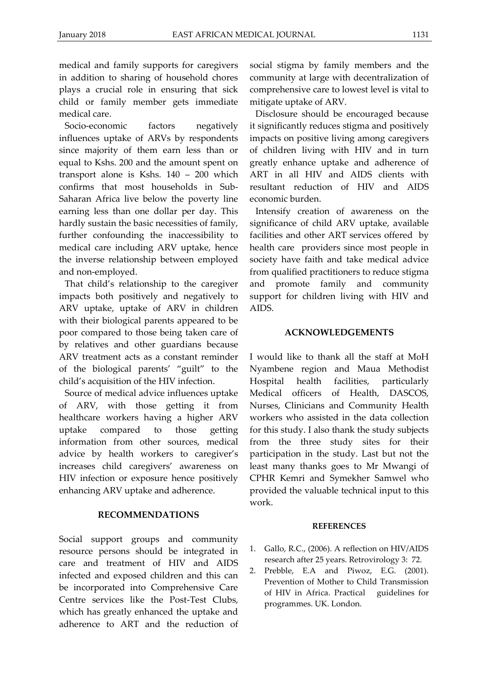medical and family supports for caregivers in addition to sharing of household chores plays a crucial role in ensuring that sick child or family member gets immediate medical care.

Socio-economic factors negatively influences uptake of ARVs by respondents since majority of them earn less than or equal to Kshs. 200 and the amount spent on transport alone is Kshs. 140 – 200 which confirms that most households in Sub-Saharan Africa live below the poverty line earning less than one dollar per day. This hardly sustain the basic necessities of family, further confounding the inaccessibility to medical care including ARV uptake, hence the inverse relationship between employed and non-employed.

That child's relationship to the caregiver impacts both positively and negatively to ARV uptake, uptake of ARV in children with their biological parents appeared to be poor compared to those being taken care of by relatives and other guardians because ARV treatment acts as a constant reminder of the biological parents' "guilt" to the child's acquisition of the HIV infection.

Source of medical advice influences uptake of ARV, with those getting it from healthcare workers having a higher ARV uptake compared to those getting information from other sources, medical advice by health workers to caregiver's increases child caregivers' awareness on HIV infection or exposure hence positively enhancing ARV uptake and adherence.

#### **RECOMMENDATIONS**

Social support groups and community resource persons should be integrated in care and treatment of HIV and AIDS infected and exposed children and this can be incorporated into Comprehensive Care Centre services like the Post-Test Clubs, which has greatly enhanced the uptake and adherence to ART and the reduction of social stigma by family members and the community at large with decentralization of comprehensive care to lowest level is vital to mitigate uptake of ARV.

Disclosure should be encouraged because it significantly reduces stigma and positively impacts on positive living among caregivers of children living with HIV and in turn greatly enhance uptake and adherence of ART in all HIV and AIDS clients with resultant reduction of HIV and AIDS economic burden.

Intensify creation of awareness on the significance of child ARV uptake, available facilities and other ART services offered by health care providers since most people in society have faith and take medical advice from qualified practitioners to reduce stigma and promote family and community support for children living with HIV and AIDS.

#### **ACKNOWLEDGEMENTS**

I would like to thank all the staff at MoH Nyambene region and Maua Methodist Hospital health facilities, particularly Medical officers of Health, DASCOS, Nurses, Clinicians and Community Health workers who assisted in the data collection for this study. I also thank the study subjects from the three study sites for their participation in the study. Last but not the least many thanks goes to Mr Mwangi of CPHR Kemri and Symekher Samwel who provided the valuable technical input to this work.

#### **REFERENCES**

- 1. Gallo, R.C., (2006). A reflection on HIV/AIDS research after 25 years. Retrovirology 3: 72.
- 2. Prebble, E.A and Piwoz, E.G. (2001). Prevention of Mother to Child Transmission of HIV in Africa. Practical guidelines for programmes. UK. London.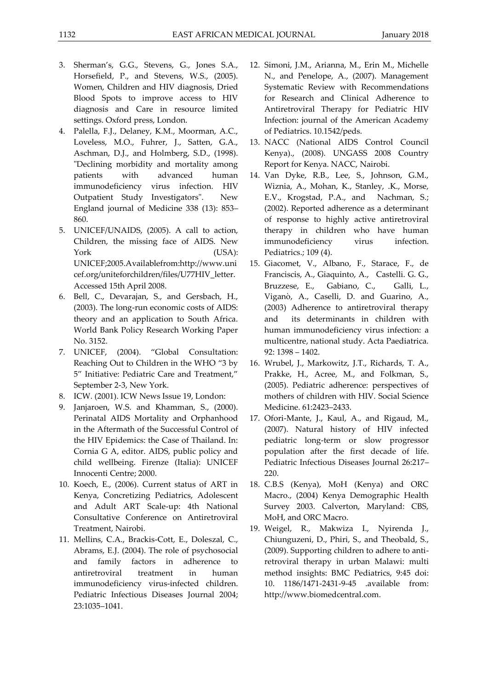- 3. Sherman's, G.G., Stevens, G., Jones S.A., Horsefield, P., and Stevens, W.S., (2005). Women, Children and HIV diagnosis, Dried Blood Spots to improve access to HIV diagnosis and Care in resource limited settings. Oxford press, London.
- 4. Palella, F.J., Delaney, K.M., Moorman, A.C., Loveless, M.O., Fuhrer, J., Satten, G.A., Aschman, D.J., and Holmberg, S.D., (1998). "Declining morbidity and mortality among patients with advanced human immunodeficiency virus infection. HIV Outpatient Study Investigators". New England journal of Medicine 338 (13): 853– 860.
- 5. UNICEF/UNAIDS, (2005). A call to action, Children, the missing face of AIDS. New York (USA): UNICEF;2005.Availablefrom:http://www.uni cef.org/uniteforchildren/files/U77HIV\_letter. Accessed 15th April 2008.
- 6. Bell, C., Devarajan, S., and Gersbach, H., (2003). The long-run economic costs of AIDS: theory and an application to South Africa. World Bank Policy Research Working Paper No. 3152.
- 7. UNICEF, (2004). "Global Consultation: Reaching Out to Children in the WHO "3 by 5" Initiative: Pediatric Care and Treatment," September 2-3, New York.
- 8. ICW. (2001). ICW News Issue 19, London:
- 9. Janjaroen, W.S. and Khamman, S., (2000). Perinatal AIDS Mortality and Orphanhood in the Aftermath of the Successful Control of the HIV Epidemics: the Case of Thailand. In: Cornia G A, editor. AIDS, public policy and child wellbeing. Firenze (Italia): UNICEF Innocenti Centre; 2000.
- 10. Koech, E., (2006). Current status of ART in Kenya, Concretizing Pediatrics, Adolescent and Adult ART Scale-up: 4th National Consultative Conference on Antiretroviral Treatment, Nairobi.
- 11. Mellins, C.A., Brackis-Cott, E., Doleszal, C., Abrams, E.J. (2004). The role of psychosocial and family factors in adherence to antiretroviral treatment in human immunodeficiency virus-infected children. Pediatric Infectious Diseases Journal 2004; 23:1035–1041.
- 12. Simoni, J.M., Arianna, M., Erin M., Michelle N., and Penelope, A., (2007). Management Systematic Review with Recommendations for Research and Clinical Adherence to Antiretroviral Therapy for Pediatric HIV Infection: journal of the American Academy of Pediatrics. 10.1542/peds.
- 13. NACC (National AIDS Control Council Kenya)., (2008). UNGASS 2008 Country Report for Kenya. NACC, Nairobi.
- 14. Van Dyke, R.B., Lee, S., Johnson, G.M., Wiznia, A., Mohan, K., Stanley, .K., Morse, E.V., Krogstad, P.A., and Nachman, S.; (2002). Reported adherence as a determinant of response to highly active antiretroviral therapy in children who have human immunodeficiency virus infection. Pediatrics.; 109 (4).
- 15. Giacomet, V., Albano, F., Starace, F., de Franciscis, A., Giaquinto, A., Castelli. G. G., Bruzzese, E., Gabiano, C., Galli, L., Viganò, A., Caselli, D. and Guarino, A., (2003) Adherence to antiretroviral therapy and its determinants in children with human immunodeficiency virus infection: a multicentre, national study. Acta Paediatrica. 92: 1398 – 1402.
- 16. Wrubel, J., Markowitz, J.T., Richards, T. A., Prakke, H., Acree, M., and Folkman, S., (2005). Pediatric adherence: perspectives of mothers of children with HIV. Social Science Medicine. 61:2423–2433.
- 17. Ofori-Mante, J., Kaul, A., and Rigaud, M., (2007). Natural history of HIV infected pediatric long-term or slow progressor population after the first decade of life. Pediatric Infectious Diseases Journal 26:217– 220.
- 18. C.B.S (Kenya), MoH (Kenya) and ORC Macro., (2004) Kenya Demographic Health Survey 2003. Calverton, Maryland: CBS, MoH, and ORC Macro.
- 19. Weigel, R., Makwiza I., Nyirenda J., Chiunguzeni, D., Phiri, S., and Theobald, S., (2009). Supporting children to adhere to antiretroviral therapy in urban Malawi: multi method insights: BMC Pediatrics, 9:45 doi: 10. 1186/1471-2431-9-45 .available from: http://www.biomedcentral.com.